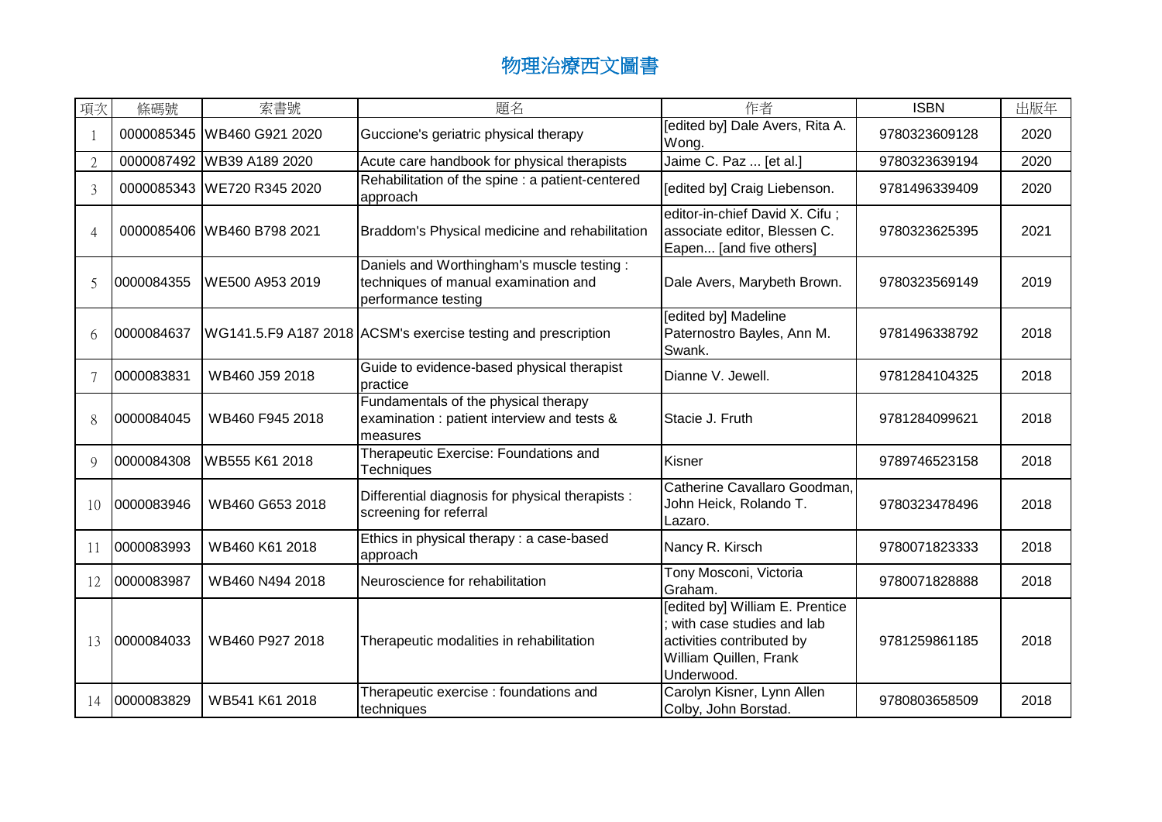| 項次             | 條碼號        | 索書號                        | 題名                                                                                                       | 作者                                                                                                                                | <b>ISBN</b>   | 出版年  |
|----------------|------------|----------------------------|----------------------------------------------------------------------------------------------------------|-----------------------------------------------------------------------------------------------------------------------------------|---------------|------|
|                |            | 0000085345 WB460 G921 2020 | Guccione's geriatric physical therapy                                                                    | [edited by] Dale Avers, Rita A.<br>Wong.                                                                                          | 9780323609128 | 2020 |
| $\overline{2}$ |            | 0000087492 WB39 A189 2020  | Acute care handbook for physical therapists                                                              | Jaime C. Paz  [et al.]                                                                                                            | 9780323639194 | 2020 |
| 3              |            | 0000085343 WE720 R345 2020 | Rehabilitation of the spine : a patient-centered<br>approach                                             | [edited by] Craig Liebenson.                                                                                                      | 9781496339409 | 2020 |
| 4              |            | 0000085406 WB460 B798 2021 | Braddom's Physical medicine and rehabilitation                                                           | editor-in-chief David X. Cifu;<br>associate editor, Blessen C.<br>Eapen [and five others]                                         | 9780323625395 | 2021 |
| 5              | 0000084355 | WE500 A953 2019            | Daniels and Worthingham's muscle testing:<br>techniques of manual examination and<br>performance testing | Dale Avers, Marybeth Brown.                                                                                                       | 9780323569149 | 2019 |
| 6              | 0000084637 |                            | WG141.5.F9 A187 2018 ACSM's exercise testing and prescription                                            | [edited by] Madeline<br>Paternostro Bayles, Ann M.<br>Swank.                                                                      | 9781496338792 | 2018 |
|                | 0000083831 | WB460 J59 2018             | Guide to evidence-based physical therapist<br>practice                                                   | Dianne V. Jewell.                                                                                                                 | 9781284104325 | 2018 |
| 8              | 0000084045 | WB460 F945 2018            | Fundamentals of the physical therapy<br>examination : patient interview and tests &<br>measures          | Stacie J. Fruth                                                                                                                   | 9781284099621 | 2018 |
| 9              | 0000084308 | WB555 K61 2018             | Therapeutic Exercise: Foundations and<br><b>Techniques</b>                                               | Kisner                                                                                                                            | 9789746523158 | 2018 |
| 10             | 0000083946 | WB460 G653 2018            | Differential diagnosis for physical therapists :<br>screening for referral                               | Catherine Cavallaro Goodman,<br>John Heick, Rolando T.<br>Lazaro.                                                                 | 9780323478496 | 2018 |
| 11             | 0000083993 | WB460 K61 2018             | Ethics in physical therapy : a case-based<br>approach                                                    | Nancy R. Kirsch                                                                                                                   | 9780071823333 | 2018 |
| 12             | 0000083987 | WB460 N494 2018            | Neuroscience for rehabilitation                                                                          | Tony Mosconi, Victoria<br>Graham.                                                                                                 | 9780071828888 | 2018 |
| 13             | 0000084033 | WB460 P927 2018            | Therapeutic modalities in rehabilitation                                                                 | [edited by] William E. Prentice<br>with case studies and lab<br>activities contributed by<br>William Quillen, Frank<br>Underwood. | 9781259861185 | 2018 |
| 14             | 0000083829 | WB541 K61 2018             | Therapeutic exercise : foundations and<br>techniques                                                     | Carolyn Kisner, Lynn Allen<br>Colby, John Borstad.                                                                                | 9780803658509 | 2018 |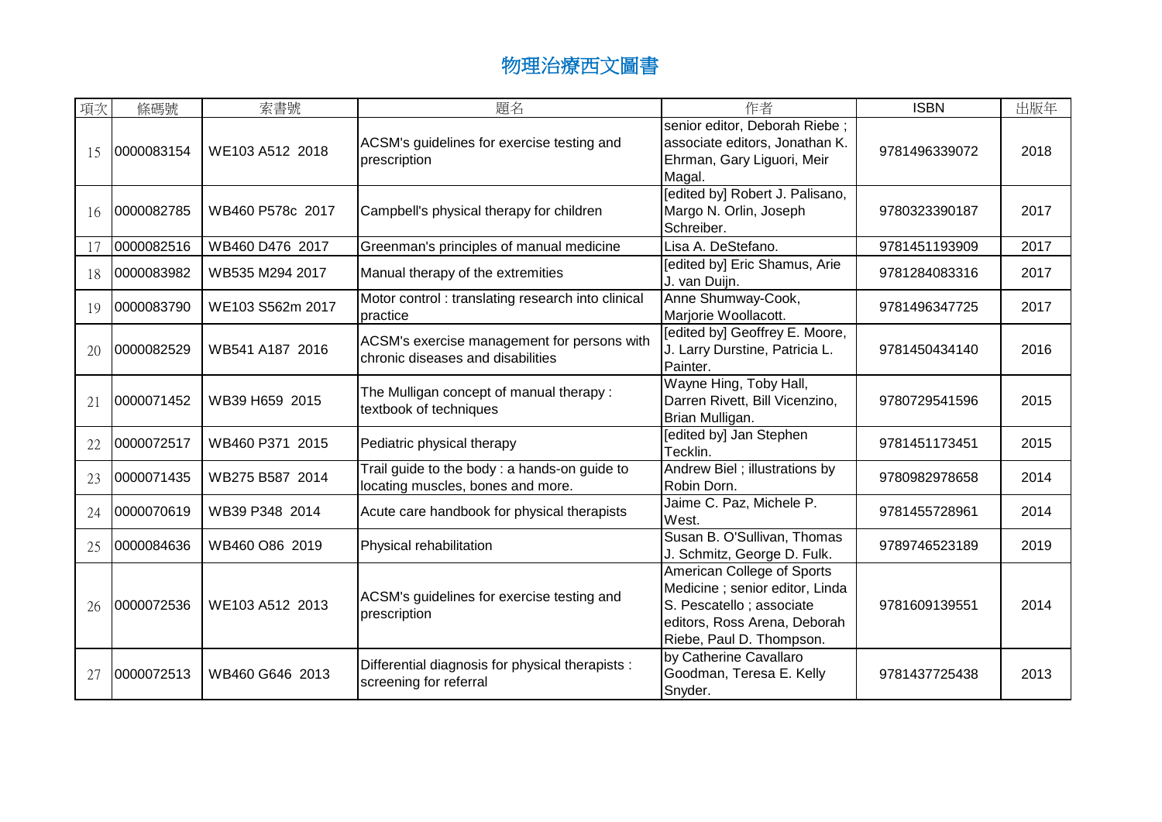| 項次 | 條碼號        | 索書號              | 題名                                                                                | 作者                                                                                                                                                     | <b>ISBN</b>   | 出版年  |
|----|------------|------------------|-----------------------------------------------------------------------------------|--------------------------------------------------------------------------------------------------------------------------------------------------------|---------------|------|
| 15 | 0000083154 | WE103 A512 2018  | ACSM's guidelines for exercise testing and<br>prescription                        | senior editor, Deborah Riebe;<br>associate editors, Jonathan K.<br>Ehrman, Gary Liguori, Meir<br>Magal.                                                | 9781496339072 | 2018 |
| 16 | 0000082785 | WB460 P578c 2017 | Campbell's physical therapy for children                                          | [edited by] Robert J. Palisano,<br>Margo N. Orlin, Joseph<br>Schreiber.                                                                                | 9780323390187 | 2017 |
| 17 | 0000082516 | WB460 D476 2017  | Greenman's principles of manual medicine                                          | Lisa A. DeStefano.                                                                                                                                     | 9781451193909 | 2017 |
| 18 | 0000083982 | WB535 M294 2017  | Manual therapy of the extremities                                                 | [edited by] Eric Shamus, Arie<br>J. van Duijn.                                                                                                         | 9781284083316 | 2017 |
| 19 | 0000083790 | WE103 S562m 2017 | Motor control: translating research into clinical<br>practice                     | Anne Shumway-Cook,<br>Marjorie Woollacott.                                                                                                             | 9781496347725 | 2017 |
| 20 | 0000082529 | WB541 A187 2016  | ACSM's exercise management for persons with<br>chronic diseases and disabilities  | [edited by] Geoffrey E. Moore,<br>J. Larry Durstine, Patricia L.<br>Painter.                                                                           | 9781450434140 | 2016 |
| 21 | 0000071452 | WB39 H659 2015   | The Mulligan concept of manual therapy:<br>textbook of techniques                 | Wayne Hing, Toby Hall,<br>Darren Rivett, Bill Vicenzino,<br>Brian Mulligan.                                                                            | 9780729541596 | 2015 |
| 22 | 0000072517 | WB460 P371 2015  | Pediatric physical therapy                                                        | [edited by] Jan Stephen<br>Tecklin.                                                                                                                    | 9781451173451 | 2015 |
| 23 | 0000071435 | WB275 B587 2014  | Trail guide to the body: a hands-on guide to<br>locating muscles, bones and more. | Andrew Biel; illustrations by<br>Robin Dorn.                                                                                                           | 9780982978658 | 2014 |
| 24 | 0000070619 | WB39 P348 2014   | Acute care handbook for physical therapists                                       | Jaime C. Paz, Michele P.<br>West.                                                                                                                      | 9781455728961 | 2014 |
| 25 | 0000084636 | WB460 O86 2019   | Physical rehabilitation                                                           | Susan B. O'Sullivan, Thomas<br>J. Schmitz, George D. Fulk.                                                                                             | 9789746523189 | 2019 |
| 26 | 0000072536 | WE103 A512 2013  | ACSM's guidelines for exercise testing and<br>prescription                        | American College of Sports<br>Medicine ; senior editor, Linda<br>S. Pescatello ; associate<br>editors, Ross Arena, Deborah<br>Riebe, Paul D. Thompson. | 9781609139551 | 2014 |
| 27 | 0000072513 | WB460 G646 2013  | Differential diagnosis for physical therapists :<br>screening for referral        | by Catherine Cavallaro<br>Goodman, Teresa E. Kelly<br>Snyder.                                                                                          | 9781437725438 | 2013 |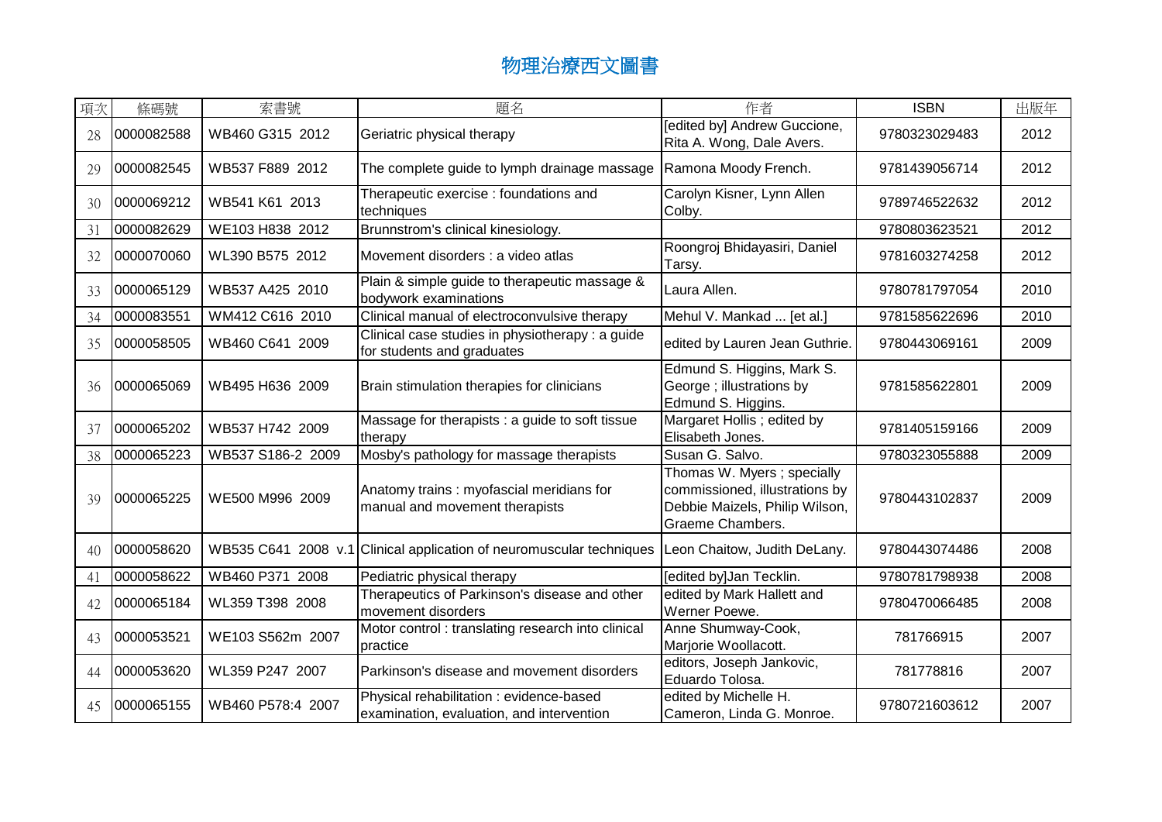| 項次 | 條碼號        | 索書號               | 題名                                                                                    | 作者                                                                                                                 | <b>ISBN</b>   | 出版年  |
|----|------------|-------------------|---------------------------------------------------------------------------------------|--------------------------------------------------------------------------------------------------------------------|---------------|------|
| 28 | 0000082588 | WB460 G315 2012   | Geriatric physical therapy                                                            | [edited by] Andrew Guccione,<br>Rita A. Wong, Dale Avers.                                                          | 9780323029483 | 2012 |
| 29 | 0000082545 | WB537 F889 2012   | The complete guide to lymph drainage massage                                          | Ramona Moody French.                                                                                               | 9781439056714 | 2012 |
| 30 | 0000069212 | WB541 K61 2013    | Therapeutic exercise : foundations and<br>techniques                                  | Carolyn Kisner, Lynn Allen<br>Colby.                                                                               | 9789746522632 | 2012 |
| 31 | 0000082629 | WE103 H838 2012   | Brunnstrom's clinical kinesiology.                                                    |                                                                                                                    | 9780803623521 | 2012 |
| 32 | 0000070060 | WL390 B575 2012   | Movement disorders : a video atlas                                                    | Roongroj Bhidayasiri, Daniel<br>Tarsy.                                                                             | 9781603274258 | 2012 |
| 33 | 0000065129 | WB537 A425 2010   | Plain & simple guide to therapeutic massage &<br>bodywork examinations                | Laura Allen.                                                                                                       | 9780781797054 | 2010 |
| 34 | 0000083551 | WM412 C616 2010   | Clinical manual of electroconvulsive therapy                                          | Mehul V. Mankad  [et al.]                                                                                          | 9781585622696 | 2010 |
| 35 | 0000058505 | WB460 C641 2009   | Clinical case studies in physiotherapy : a guide<br>for students and graduates        | edited by Lauren Jean Guthrie.                                                                                     | 9780443069161 | 2009 |
| 36 | 0000065069 | WB495 H636 2009   | Brain stimulation therapies for clinicians                                            | Edmund S. Higgins, Mark S.<br>George ; illustrations by<br>Edmund S. Higgins.                                      | 9781585622801 | 2009 |
| 37 | 0000065202 | WB537 H742 2009   | Massage for therapists : a guide to soft tissue<br>therapy                            | Margaret Hollis; edited by<br>Elisabeth Jones.                                                                     | 9781405159166 | 2009 |
| 38 | 0000065223 | WB537 S186-2 2009 | Mosby's pathology for massage therapists                                              | Susan G. Salvo.                                                                                                    | 9780323055888 | 2009 |
| 39 | 0000065225 | WE500 M996 2009   | Anatomy trains: myofascial meridians for<br>manual and movement therapists            | Thomas W. Myers; specially<br>commissioned, illustrations by<br>Debbie Maizels, Philip Wilson,<br>Graeme Chambers. | 9780443102837 | 2009 |
| 40 | 0000058620 |                   | WB535 C641 2008 v.1 Clinical application of neuromuscular techniques                  | Leon Chaitow, Judith DeLany.                                                                                       | 9780443074486 | 2008 |
| 41 | 0000058622 | WB460 P371 2008   | Pediatric physical therapy                                                            | [edited by]Jan Tecklin.                                                                                            | 9780781798938 | 2008 |
| 42 | 0000065184 | WL359 T398 2008   | Therapeutics of Parkinson's disease and other<br>movement disorders                   | edited by Mark Hallett and<br>Werner Poewe.                                                                        | 9780470066485 | 2008 |
| 43 | 0000053521 | WE103 S562m 2007  | Motor control : translating research into clinical<br>practice                        | Anne Shumway-Cook,<br>Marjorie Woollacott.                                                                         | 781766915     | 2007 |
| 44 | 0000053620 | WL359 P247 2007   | Parkinson's disease and movement disorders                                            | editors, Joseph Jankovic,<br>Eduardo Tolosa.                                                                       | 781778816     | 2007 |
| 45 | 0000065155 | WB460 P578:4 2007 | Physical rehabilitation : evidence-based<br>examination, evaluation, and intervention | edited by Michelle H.<br>Cameron, Linda G. Monroe.                                                                 | 9780721603612 | 2007 |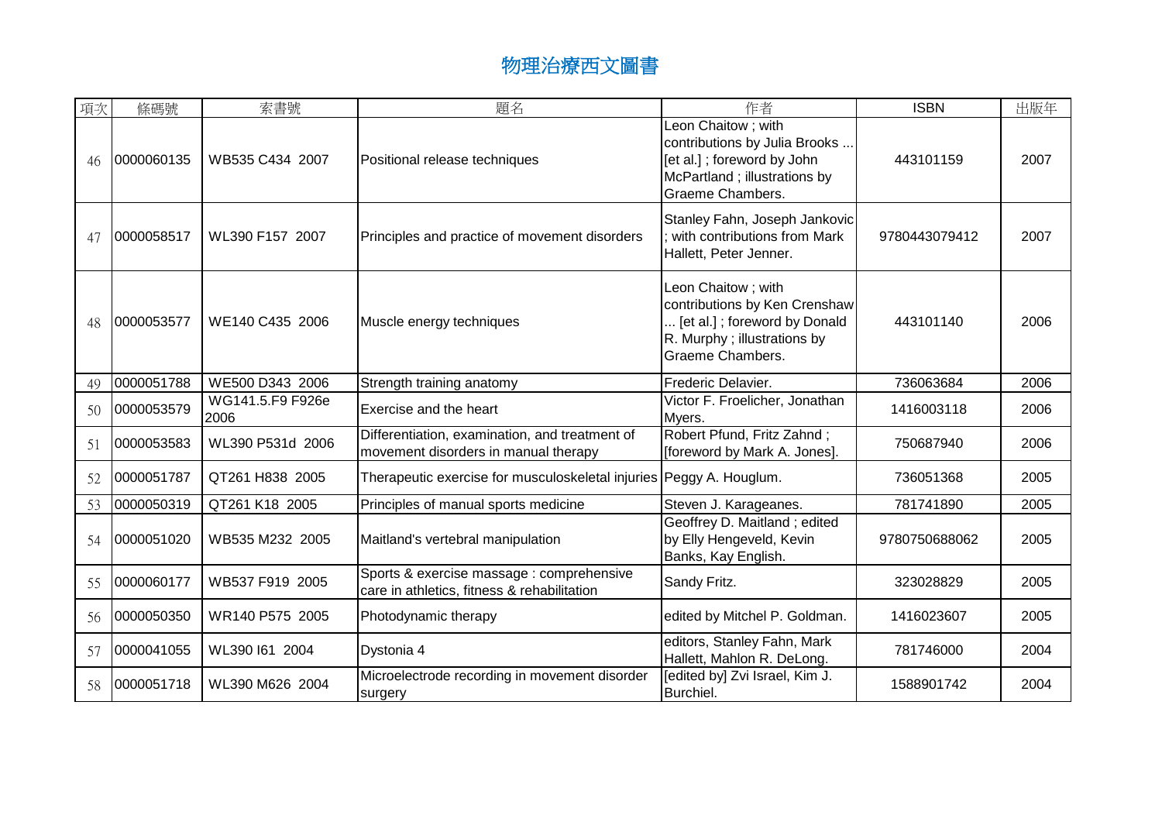| 項次 | 條碼號        | 索書號                      | 題名                                                                                       | 作者                                                                                                                                      | <b>ISBN</b>   | 出版年  |
|----|------------|--------------------------|------------------------------------------------------------------------------------------|-----------------------------------------------------------------------------------------------------------------------------------------|---------------|------|
| 46 | 0000060135 | WB535 C434 2007          | Positional release techniques                                                            | Leon Chaitow; with<br>contributions by Julia Brooks<br>[et al.]; foreword by John<br>McPartland; illustrations by<br>Graeme Chambers.   | 443101159     | 2007 |
| 47 | 0000058517 | WL390 F157 2007          | Principles and practice of movement disorders                                            | Stanley Fahn, Joseph Jankovic<br>with contributions from Mark<br>Hallett, Peter Jenner.                                                 | 9780443079412 | 2007 |
| 48 | 0000053577 | WE140 C435 2006          | Muscle energy techniques                                                                 | Leon Chaitow; with<br>contributions by Ken Crenshaw<br>[et al.]; foreword by Donald<br>R. Murphy ; illustrations by<br>Graeme Chambers. | 443101140     | 2006 |
| 49 | 0000051788 | WE500 D343 2006          | Strength training anatomy                                                                | Frederic Delavier.                                                                                                                      | 736063684     | 2006 |
| 50 | 0000053579 | WG141.5.F9 F926e<br>2006 | Exercise and the heart                                                                   | Victor F. Froelicher, Jonathan<br>Myers.                                                                                                | 1416003118    | 2006 |
| 51 | 0000053583 | WL390 P531d 2006         | Differentiation, examination, and treatment of<br>movement disorders in manual therapy   | Robert Pfund, Fritz Zahnd;<br>[foreword by Mark A. Jones].                                                                              | 750687940     | 2006 |
| 52 | 0000051787 | QT261 H838 2005          | Therapeutic exercise for musculoskeletal injuries Peggy A. Houglum.                      |                                                                                                                                         | 736051368     | 2005 |
| 53 | 0000050319 | QT261 K18 2005           | Principles of manual sports medicine                                                     | Steven J. Karageanes.                                                                                                                   | 781741890     | 2005 |
| 54 | 0000051020 | WB535 M232 2005          | Maitland's vertebral manipulation                                                        | Geoffrey D. Maitland; edited<br>by Elly Hengeveld, Kevin<br>Banks, Kay English.                                                         | 9780750688062 | 2005 |
| 55 | 0000060177 | WB537 F919 2005          | Sports & exercise massage : comprehensive<br>care in athletics, fitness & rehabilitation | Sandy Fritz.                                                                                                                            | 323028829     | 2005 |
| 56 | 0000050350 | WR140 P575 2005          | Photodynamic therapy                                                                     | edited by Mitchel P. Goldman.                                                                                                           | 1416023607    | 2005 |
| 57 | 0000041055 | WL390 I61 2004           | Dystonia 4                                                                               | editors, Stanley Fahn, Mark<br>Hallett, Mahlon R. DeLong.                                                                               | 781746000     | 2004 |
| 58 | 0000051718 | WL390 M626 2004          | Microelectrode recording in movement disorder<br>surgery                                 | [edited by] Zvi Israel, Kim J.<br>Burchiel.                                                                                             | 1588901742    | 2004 |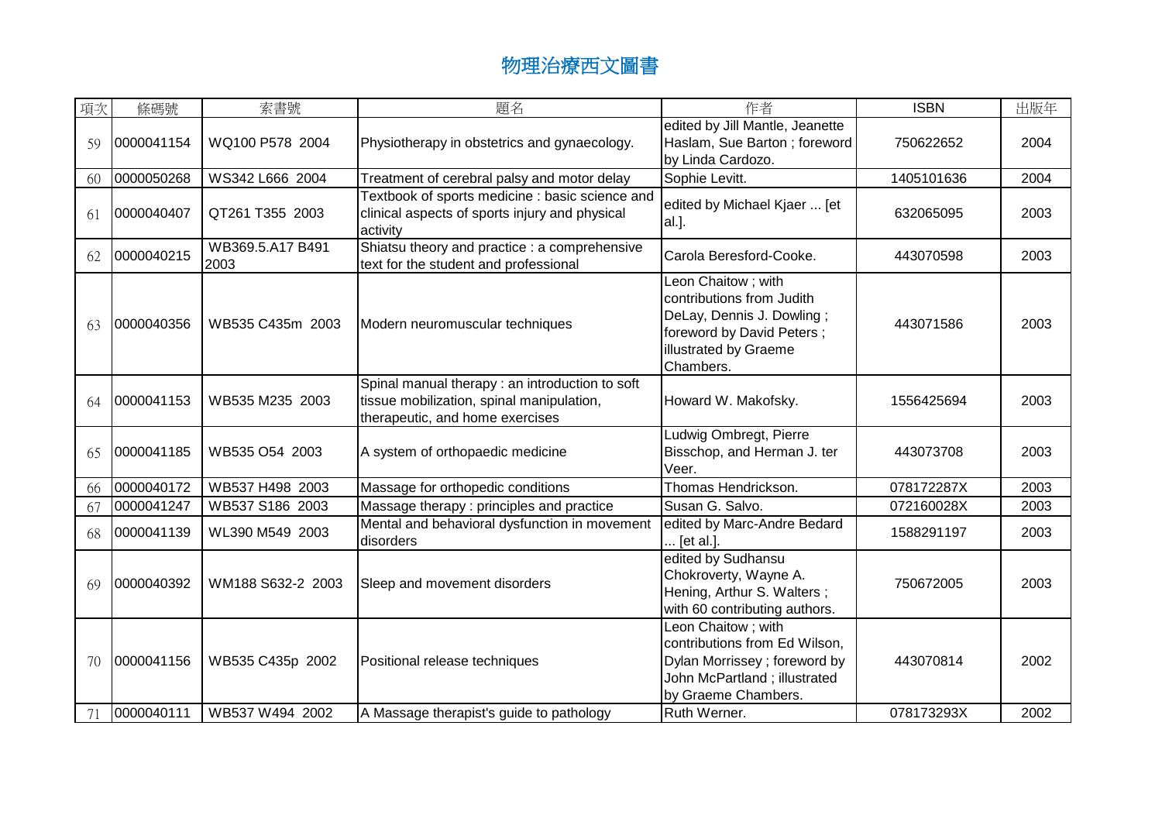| 項次 | 條碼號        | 索書號                      | 題名                                                                                                                             | 作者                                                                                                                                              | <b>ISBN</b> | 出版年  |
|----|------------|--------------------------|--------------------------------------------------------------------------------------------------------------------------------|-------------------------------------------------------------------------------------------------------------------------------------------------|-------------|------|
| 59 | 0000041154 | WQ100 P578 2004          | Physiotherapy in obstetrics and gynaecology.                                                                                   | edited by Jill Mantle, Jeanette<br>Haslam, Sue Barton; foreword<br>by Linda Cardozo.                                                            | 750622652   | 2004 |
| 60 | 0000050268 | WS342 L666 2004          | Treatment of cerebral palsy and motor delay                                                                                    | Sophie Levitt.                                                                                                                                  | 1405101636  | 2004 |
| 61 | 0000040407 | QT261 T355 2003          | Textbook of sports medicine : basic science and<br>clinical aspects of sports injury and physical<br>activity                  | edited by Michael Kjaer  [et<br>al.].                                                                                                           | 632065095   | 2003 |
| 62 | 0000040215 | WB369.5.A17 B491<br>2003 | Shiatsu theory and practice : a comprehensive<br>text for the student and professional                                         | Carola Beresford-Cooke.                                                                                                                         | 443070598   | 2003 |
| 63 | 0000040356 | WB535 C435m 2003         | Modern neuromuscular techniques                                                                                                | Leon Chaitow; with<br>contributions from Judith<br>DeLay, Dennis J. Dowling;<br>foreword by David Peters;<br>illustrated by Graeme<br>Chambers. | 443071586   | 2003 |
| 64 | 0000041153 | WB535 M235 2003          | Spinal manual therapy: an introduction to soft<br>tissue mobilization, spinal manipulation,<br>therapeutic, and home exercises | Howard W. Makofsky.                                                                                                                             | 1556425694  | 2003 |
| 65 | 0000041185 | WB535 O54 2003           | A system of orthopaedic medicine                                                                                               | Ludwig Ombregt, Pierre<br>Bisschop, and Herman J. ter<br>Veer.                                                                                  | 443073708   | 2003 |
| 66 | 0000040172 | WB537 H498 2003          | Massage for orthopedic conditions                                                                                              | Thomas Hendrickson.                                                                                                                             | 078172287X  | 2003 |
| 67 | 0000041247 | WB537 S186 2003          | Massage therapy: principles and practice                                                                                       | Susan G. Salvo.                                                                                                                                 | 072160028X  | 2003 |
| 68 | 0000041139 | WL390 M549 2003          | Mental and behavioral dysfunction in movement<br>disorders                                                                     | edited by Marc-Andre Bedard<br>[et al.].                                                                                                        | 1588291197  | 2003 |
| 69 | 0000040392 | WM188 S632-2 2003        | Sleep and movement disorders                                                                                                   | edited by Sudhansu<br>Chokroverty, Wayne A.<br>Hening, Arthur S. Walters;<br>with 60 contributing authors.                                      | 750672005   | 2003 |
| 70 | 0000041156 | WB535 C435p 2002         | Positional release techniques                                                                                                  | Leon Chaitow; with<br>contributions from Ed Wilson,<br>Dylan Morrissey ; foreword by<br>John McPartland; illustrated<br>by Graeme Chambers.     | 443070814   | 2002 |
|    | 0000040111 | WB537 W494 2002          | A Massage therapist's guide to pathology                                                                                       | Ruth Werner.                                                                                                                                    | 078173293X  | 2002 |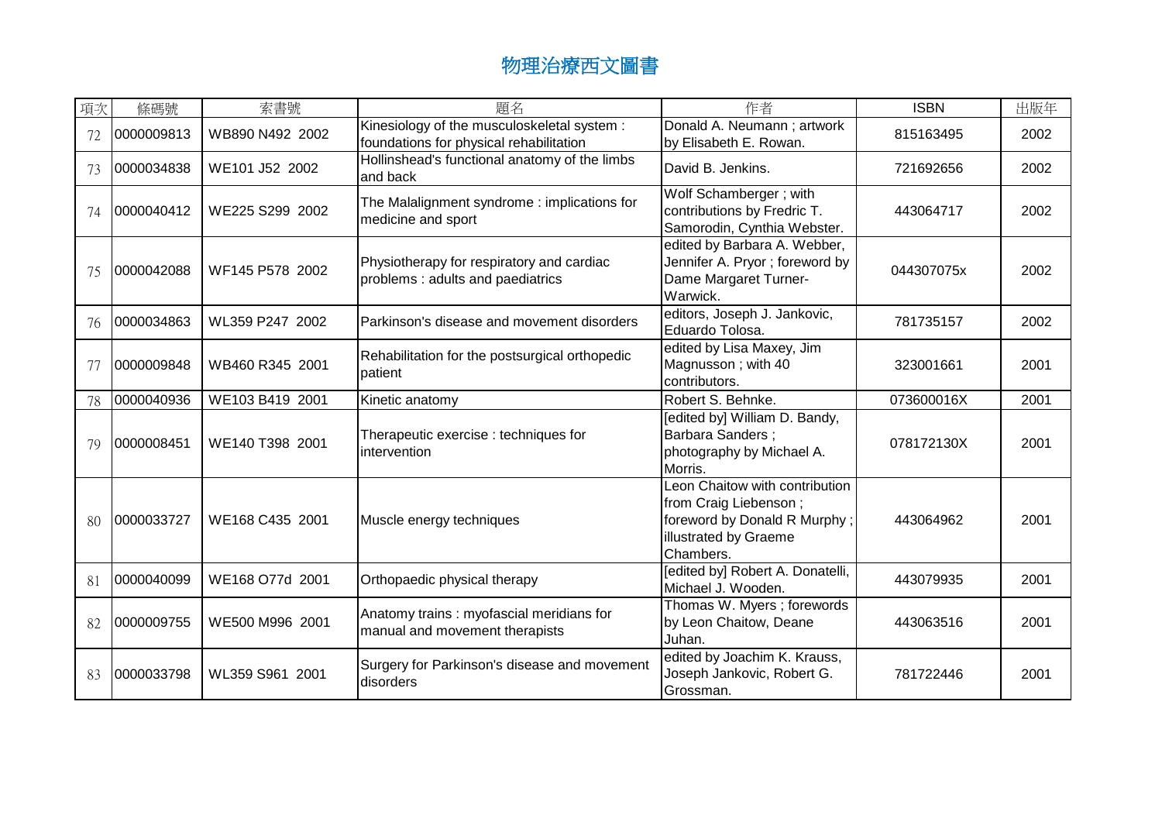| 項次 | 條碼號        | 索書號             | 題名                                                                                     | 作者                                                                                                                            | <b>ISBN</b> | 出版年  |
|----|------------|-----------------|----------------------------------------------------------------------------------------|-------------------------------------------------------------------------------------------------------------------------------|-------------|------|
|    | 0000009813 | WB890 N492 2002 | Kinesiology of the musculoskeletal system :<br>foundations for physical rehabilitation | Donald A. Neumann; artwork<br>by Elisabeth E. Rowan.                                                                          | 815163495   | 2002 |
| 73 | 0000034838 | WE101 J52 2002  | Hollinshead's functional anatomy of the limbs<br>and back                              | David B. Jenkins.                                                                                                             | 721692656   | 2002 |
| 74 | 0000040412 | WE225 S299 2002 | The Malalignment syndrome: implications for<br>medicine and sport                      | Wolf Schamberger; with<br>contributions by Fredric T.<br>Samorodin, Cynthia Webster.                                          | 443064717   | 2002 |
| 75 | 0000042088 | WF145 P578 2002 | Physiotherapy for respiratory and cardiac<br>problems: adults and paediatrics          | edited by Barbara A. Webber,<br>Jennifer A. Pryor; foreword by<br>Dame Margaret Turner-<br>Warwick.                           | 044307075x  | 2002 |
| 76 | 0000034863 | WL359 P247 2002 | Parkinson's disease and movement disorders                                             | editors, Joseph J. Jankovic,<br>Eduardo Tolosa.                                                                               | 781735157   | 2002 |
| 77 | 0000009848 | WB460 R345 2001 | Rehabilitation for the postsurgical orthopedic<br>patient                              | edited by Lisa Maxey, Jim<br>Magnusson; with 40<br>contributors.                                                              | 323001661   | 2001 |
| 78 | 0000040936 | WE103 B419 2001 | Kinetic anatomy                                                                        | Robert S. Behnke.                                                                                                             | 073600016X  | 2001 |
| 79 | 0000008451 | WE140 T398 2001 | Therapeutic exercise : techniques for<br>intervention                                  | [edited by] William D. Bandy,<br><b>Barbara Sanders:</b><br>photography by Michael A.<br>Morris.                              | 078172130X  | 2001 |
| 80 | 0000033727 | WE168 C435 2001 | Muscle energy techniques                                                               | Leon Chaitow with contribution<br>from Craig Liebenson;<br>foreword by Donald R Murphy;<br>illustrated by Graeme<br>Chambers. | 443064962   | 2001 |
| 81 | 0000040099 | WE168 O77d 2001 | Orthopaedic physical therapy                                                           | [edited by] Robert A. Donatelli,<br>Michael J. Wooden.                                                                        | 443079935   | 2001 |
| 82 | 0000009755 | WE500 M996 2001 | Anatomy trains: myofascial meridians for<br>manual and movement therapists             | Thomas W. Myers; forewords<br>by Leon Chaitow, Deane<br>Juhan.                                                                | 443063516   | 2001 |
| 83 | 0000033798 | WL359 S961 2001 | Surgery for Parkinson's disease and movement<br>disorders                              | edited by Joachim K. Krauss,<br>Joseph Jankovic, Robert G.<br>Grossman.                                                       | 781722446   | 2001 |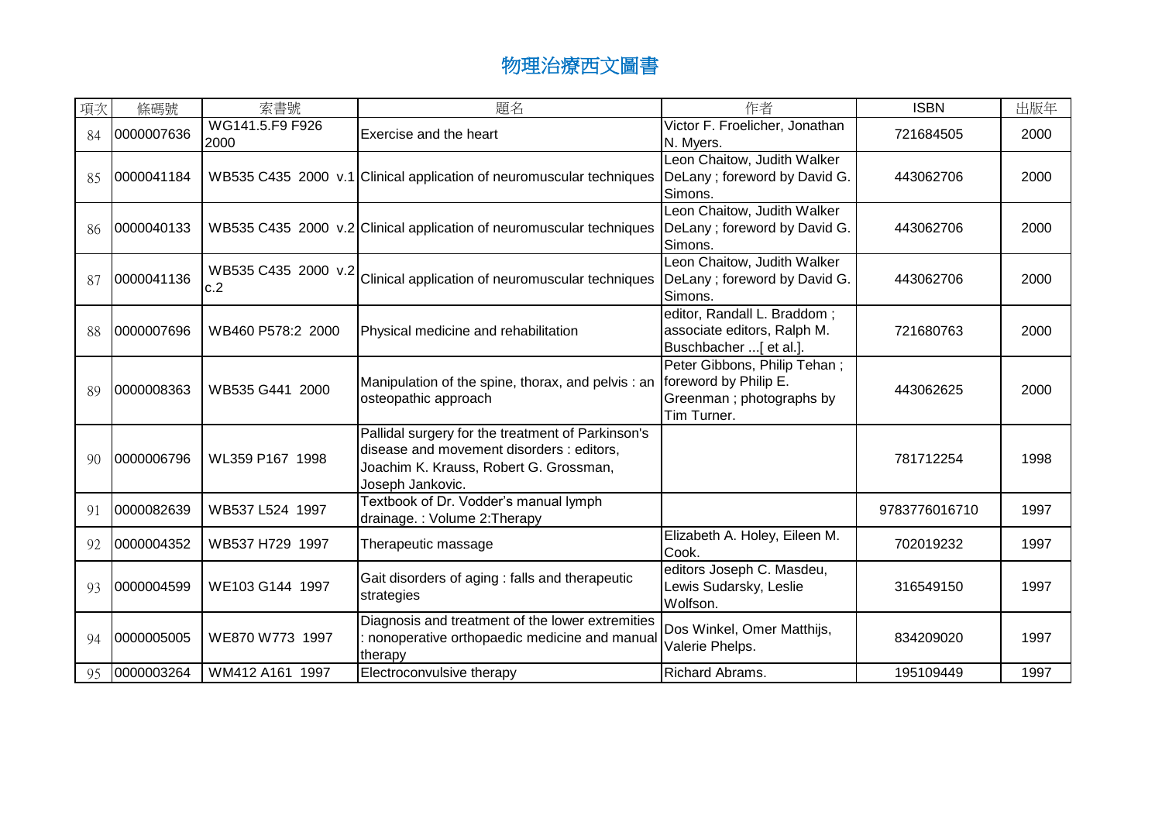| 項次 | 條碼號        | 索書號                        | 題名                                                                                                                                                           | 作者                                                                                                | <b>ISBN</b>   | 出版年  |
|----|------------|----------------------------|--------------------------------------------------------------------------------------------------------------------------------------------------------------|---------------------------------------------------------------------------------------------------|---------------|------|
| 84 | 0000007636 | WG141.5.F9 F926<br>2000    | Exercise and the heart                                                                                                                                       | Victor F. Froelicher, Jonathan<br>N. Myers.                                                       | 721684505     | 2000 |
| 85 | 0000041184 |                            | WB535 C435 2000 v.1 Clinical application of neuromuscular techniques                                                                                         | Leon Chaitow, Judith Walker<br>DeLany; foreword by David G.<br>Simons.                            | 443062706     | 2000 |
| 86 | 0000040133 |                            | WB535 C435 2000 v.2 Clinical application of neuromuscular techniques                                                                                         | Leon Chaitow, Judith Walker<br>DeLany; foreword by David G.<br>Simons.                            | 443062706     | 2000 |
| 87 | 0000041136 | WB535 C435 2000 v.2<br>c.2 | Clinical application of neuromuscular techniques                                                                                                             | Leon Chaitow, Judith Walker<br>DeLany; foreword by David G.<br>Simons.                            | 443062706     | 2000 |
| 88 | 0000007696 | WB460 P578:2 2000          | Physical medicine and rehabilitation                                                                                                                         | editor, Randall L. Braddom;<br>associate editors, Ralph M.<br>Buschbacher [ et al.]               | 721680763     | 2000 |
| 89 | 0000008363 | WB535 G441 2000            | Manipulation of the spine, thorax, and pelvis: an<br>osteopathic approach                                                                                    | Peter Gibbons, Philip Tehan;<br>foreword by Philip E.<br>Greenman ; photographs by<br>Tim Turner. | 443062625     | 2000 |
| 90 | 0000006796 | WL359 P167 1998            | Pallidal surgery for the treatment of Parkinson's<br>disease and movement disorders : editors,<br>Joachim K. Krauss, Robert G. Grossman,<br>Joseph Jankovic. |                                                                                                   | 781712254     | 1998 |
| 91 | 0000082639 | WB537 L524 1997            | Textbook of Dr. Vodder's manual lymph<br>drainage.: Volume 2: Therapy                                                                                        |                                                                                                   | 9783776016710 | 1997 |
| 92 | 0000004352 | WB537 H729 1997            | Therapeutic massage                                                                                                                                          | Elizabeth A. Holey, Eileen M.<br>Cook.                                                            | 702019232     | 1997 |
| 93 | 0000004599 | WE103 G144 1997            | Gait disorders of aging : falls and therapeutic<br>strategies                                                                                                | editors Joseph C. Masdeu,<br>Lewis Sudarsky, Leslie<br>Wolfson.                                   | 316549150     | 1997 |
| 94 | 0000005005 | WE870 W773 1997            | Diagnosis and treatment of the lower extremities<br>nonoperative orthopaedic medicine and manua<br>therapy                                                   | Dos Winkel, Omer Matthijs,<br>Valerie Phelps.                                                     | 834209020     | 1997 |
| 95 | 0000003264 | WM412 A161 1997            | Electroconvulsive therapy                                                                                                                                    | <b>Richard Abrams.</b>                                                                            | 195109449     | 1997 |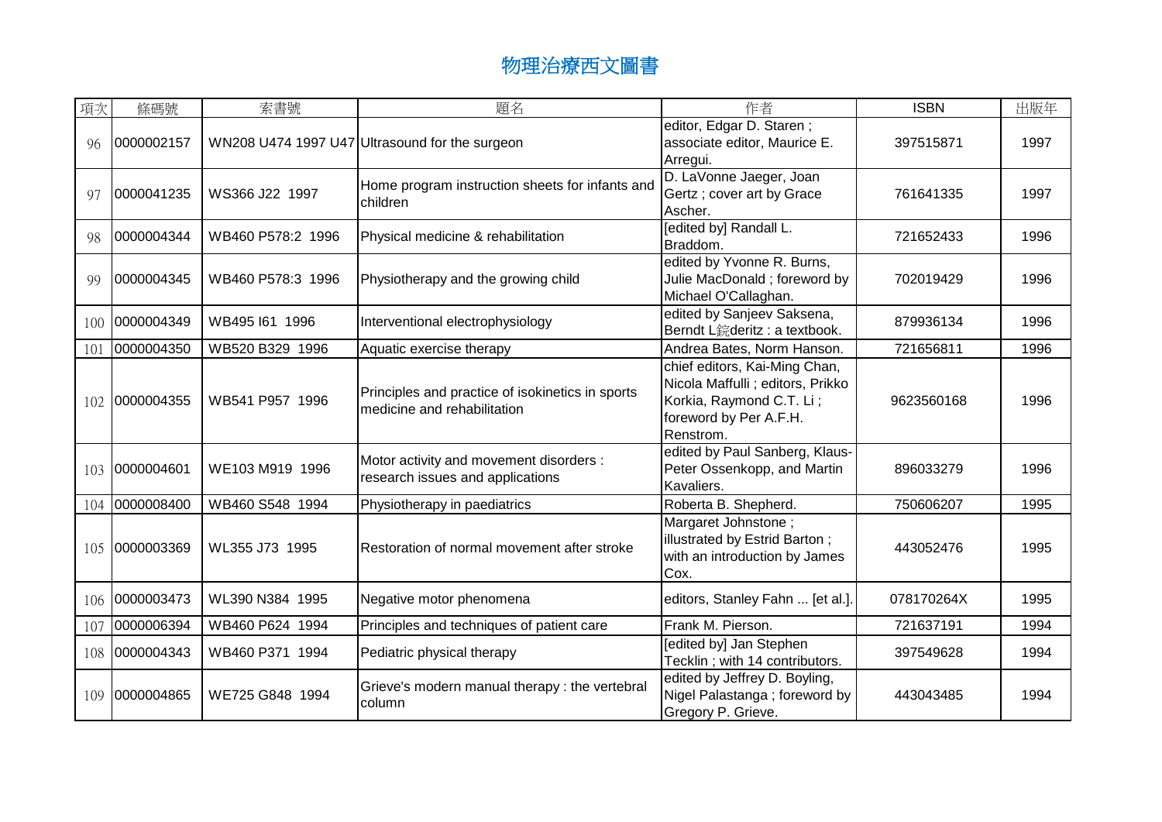| 項次              | 條碼號        | 索書號               | 題名                                                                              | 作者                                                                                                                                    | <b>ISBN</b> | 出版年  |
|-----------------|------------|-------------------|---------------------------------------------------------------------------------|---------------------------------------------------------------------------------------------------------------------------------------|-------------|------|
| 96              | 0000002157 |                   | WN208 U474 1997 U47 Ultrasound for the surgeon                                  | editor, Edgar D. Staren;<br>associate editor, Maurice E.<br>Arregui.                                                                  | 397515871   | 1997 |
| 97              | 0000041235 | WS366 J22 1997    | Home program instruction sheets for infants and<br>children                     | D. LaVonne Jaeger, Joan<br>Gertz; cover art by Grace<br>Ascher.                                                                       | 761641335   | 1997 |
| 98              | 0000004344 | WB460 P578:2 1996 | Physical medicine & rehabilitation                                              | [edited by] Randall L.<br>Braddom.                                                                                                    | 721652433   | 1996 |
| 99              | 0000004345 | WB460 P578:3 1996 | Physiotherapy and the growing child                                             | edited by Yvonne R. Burns,<br>Julie MacDonald; foreword by<br>Michael O'Callaghan.                                                    | 702019429   | 1996 |
| 100             | 0000004349 | WB495 I61 1996    | Interventional electrophysiology                                                | edited by Sanjeev Saksena,<br>Berndt L鋎deritz : a textbook.                                                                           | 879936134   | 1996 |
| 10 <sub>1</sub> | 0000004350 | WB520 B329 1996   | Aquatic exercise therapy                                                        | Andrea Bates, Norm Hanson.                                                                                                            | 721656811   | 1996 |
| 102             | 0000004355 | WB541 P957 1996   | Principles and practice of isokinetics in sports<br>medicine and rehabilitation | chief editors, Kai-Ming Chan,<br>Nicola Maffulli ; editors, Prikko<br>Korkia, Raymond C.T. Li;<br>foreword by Per A.F.H.<br>Renstrom. | 9623560168  | 1996 |
| 103             | 0000004601 | WE103 M919 1996   | Motor activity and movement disorders :<br>research issues and applications     | edited by Paul Sanberg, Klaus-<br>Peter Ossenkopp, and Martin<br>Kavaliers.                                                           | 896033279   | 1996 |
| 104             | 0000008400 | WB460 S548 1994   | Physiotherapy in paediatrics                                                    | Roberta B. Shepherd.                                                                                                                  | 750606207   | 1995 |
| 105             | 0000003369 | WL355 J73 1995    | Restoration of normal movement after stroke                                     | Margaret Johnstone;<br>illustrated by Estrid Barton;<br>with an introduction by James<br>Cox.                                         | 443052476   | 1995 |
| 106             | 0000003473 | WL390 N384 1995   | Negative motor phenomena                                                        | editors, Stanley Fahn  [et al.].                                                                                                      | 078170264X  | 1995 |
| 107             | 0000006394 | WB460 P624 1994   | Principles and techniques of patient care                                       | Frank M. Pierson.                                                                                                                     | 721637191   | 1994 |
| 108             | 0000004343 | WB460 P371 1994   | Pediatric physical therapy                                                      | [edited by] Jan Stephen<br>Tecklin; with 14 contributors.                                                                             | 397549628   | 1994 |
| 109             | 0000004865 | WE725 G848 1994   | Grieve's modern manual therapy : the vertebral<br>column                        | edited by Jeffrey D. Boyling,<br>Nigel Palastanga; foreword by<br>Gregory P. Grieve.                                                  | 443043485   | 1994 |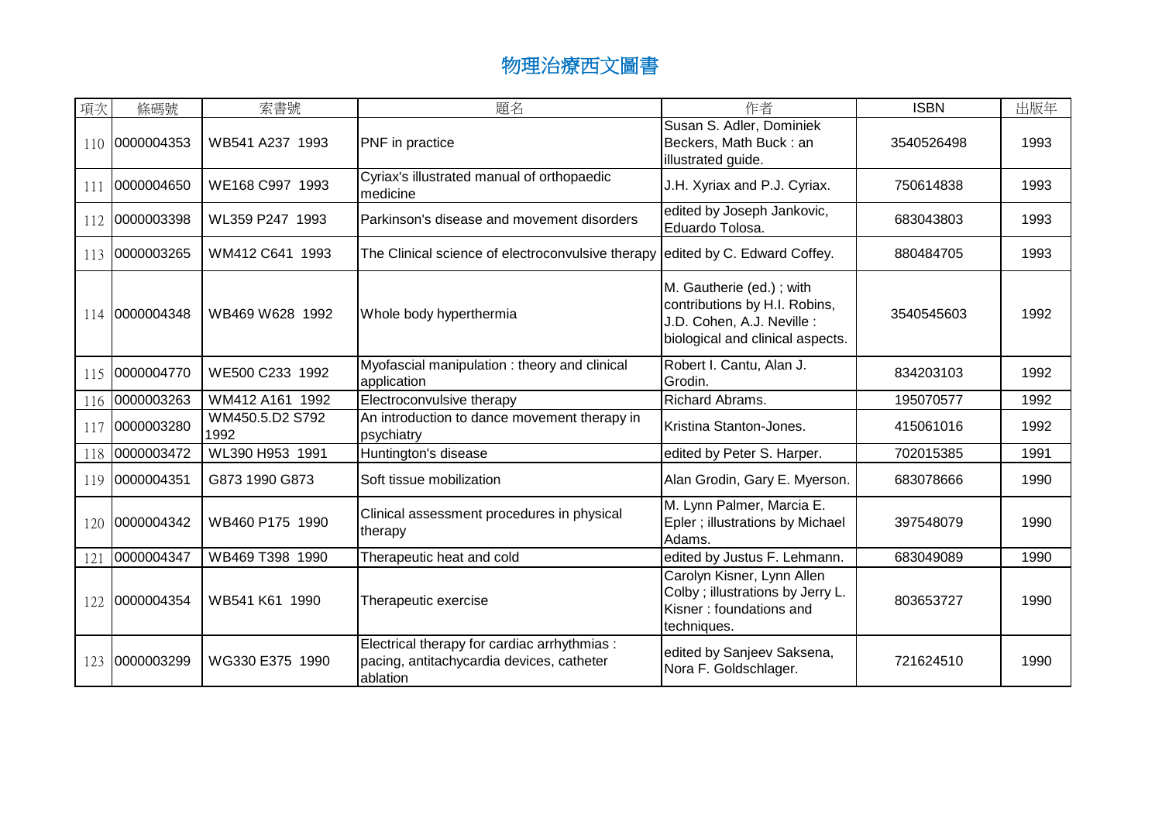| 項次  | 條碼號        | 索書號                     | 題名                                                                                                    | 作者                                                                                                                          | <b>ISBN</b> | 出版年  |
|-----|------------|-------------------------|-------------------------------------------------------------------------------------------------------|-----------------------------------------------------------------------------------------------------------------------------|-------------|------|
| 110 | 0000004353 | WB541 A237 1993         | PNF in practice                                                                                       | Susan S. Adler, Dominiek<br>Beckers, Math Buck: an<br>illustrated guide.                                                    | 3540526498  | 1993 |
| 111 | 0000004650 | WE168 C997 1993         | Cyriax's illustrated manual of orthopaedic<br>medicine                                                | J.H. Xyriax and P.J. Cyriax.                                                                                                | 750614838   | 1993 |
| 112 | 0000003398 | WL359 P247 1993         | Parkinson's disease and movement disorders                                                            | edited by Joseph Jankovic,<br>Eduardo Tolosa.                                                                               | 683043803   | 1993 |
| 113 | 0000003265 | WM412 C641 1993         | The Clinical science of electroconvulsive therapy edited by C. Edward Coffey.                         |                                                                                                                             | 880484705   | 1993 |
| 114 | 0000004348 | WB469 W628 1992         | Whole body hyperthermia                                                                               | M. Gautherie (ed.); with<br>contributions by H.I. Robins,<br>J.D. Cohen, A.J. Neville :<br>biological and clinical aspects. | 3540545603  | 1992 |
| 115 | 0000004770 | WE500 C233 1992         | Myofascial manipulation: theory and clinical<br>application                                           | Robert I. Cantu, Alan J.<br>Grodin.                                                                                         | 834203103   | 1992 |
| 116 | 0000003263 | WM412 A161 1992         | Electroconvulsive therapy                                                                             | Richard Abrams.                                                                                                             | 195070577   | 1992 |
| 117 | 0000003280 | WM450.5.D2 S792<br>1992 | An introduction to dance movement therapy in<br>psychiatry                                            | Kristina Stanton-Jones.                                                                                                     | 415061016   | 1992 |
| 118 | 0000003472 | WL390 H953 1991         | Huntington's disease                                                                                  | edited by Peter S. Harper.                                                                                                  | 702015385   | 1991 |
| 119 | 0000004351 | G873 1990 G873          | Soft tissue mobilization                                                                              | Alan Grodin, Gary E. Myerson.                                                                                               | 683078666   | 1990 |
| 120 | 0000004342 | WB460 P175 1990         | Clinical assessment procedures in physical<br>therapy                                                 | M. Lynn Palmer, Marcia E.<br>Epler; illustrations by Michael<br>Adams.                                                      | 397548079   | 1990 |
| 121 | 0000004347 | WB469 T398 1990         | Therapeutic heat and cold                                                                             | edited by Justus F. Lehmann.                                                                                                | 683049089   | 1990 |
| 122 | 0000004354 | WB541 K61 1990          | Therapeutic exercise                                                                                  | Carolyn Kisner, Lynn Allen<br>Colby; illustrations by Jerry L.<br>Kisner: foundations and<br>techniques.                    | 803653727   | 1990 |
| 123 | 0000003299 | WG330 E375 1990         | Electrical therapy for cardiac arrhythmias :<br>pacing, antitachycardia devices, catheter<br>ablation | edited by Sanjeev Saksena,<br>Nora F. Goldschlager.                                                                         | 721624510   | 1990 |